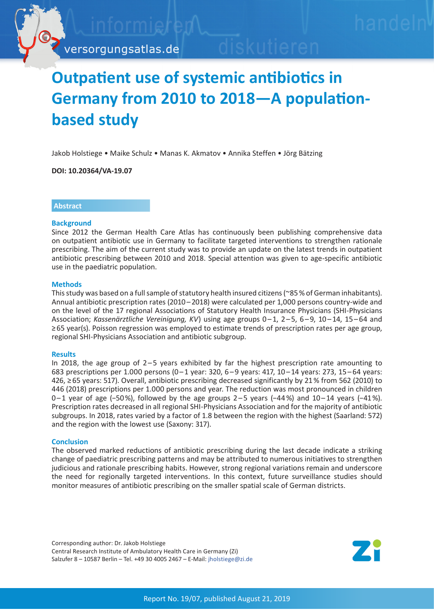

# **Outpatient use of systemic antibiotics in Germany from 2010 to 2018—A populationbased study**

Jakob Holstiege • Maike Schulz • Manas K. Akmatov • Annika Steffen • Jörg Bätzing

**DOI: 10.20364/VA-19.07**

# **Abstract**

#### **Background**

Since 2012 the German Health Care Atlas has continuously been publishing comprehensive data on outpatient antibiotic use in Germany to facilitate targeted interventions to strengthen rationale prescribing. The aim of the current study was to provide an update on the latest trends in outpatient antibiotic prescribing between 2010 and 2018. Special attention was given to age-specific antibiotic use in the paediatric population.

## **Methods**

This study was based on a full sample of statutory health insured citizens (~85 % of German inhabitants). Annual antibiotic prescription rates (2010–2018) were calculated per 1,000 persons country-wide and on the level of the 17 regional Associations of Statutory Health Insurance Physicians (SHI-Physicians Association; *Kassenärztliche Vereinigung, KV*) using age groups 0 – 1, 2 – 5, 6 – 9, 10 – 14, 15 – 64 and ≥ 65 year(s). Poisson regression was employed to estimate trends of prescription rates per age group, regional SHI-Physicians Association and antibiotic subgroup.

#### **Results**

In 2018, the age group of  $2-5$  years exhibited by far the highest prescription rate amounting to 683 prescriptions per 1.000 persons (0–1 year: 320, 6–9 years: 417, 10–14 years: 273, 15–64 years: 426, ≥ 65 years: 517). Overall, antibiotic prescribing decreased significantly by 21 % from 562 (2010) to 446 (2018) prescriptions per 1.000 persons and year. The reduction was most pronounced in children 0 – 1 year of age (−50 %), followed by the age groups 2 – 5 years (−44 %) and 10 – 14 years (−41 %). Prescription rates decreased in all regional SHI-Physicians Association and for the majority of antibiotic subgroups. In 2018, rates varied by a factor of 1.8 between the region with the highest (Saarland: 572) and the region with the lowest use (Saxony: 317).

# **Conclusion**

The observed marked reductions of antibiotic prescribing during the last decade indicate a striking change of paediatric prescribing patterns and may be attributed to numerous initiatives to strengthen judicious and rationale prescribing habits. However, strong regional variations remain and underscore the need for regionally targeted interventions. In this context, future surveillance studies should monitor measures of antibiotic prescribing on the smaller spatial scale of German districts.

Corresponding author: Dr. Jakob Holstiege Central Research Institute of Ambulatory Health Care in Germany (Zi) Salzufer 8 – 10587 Berlin – Tel. +49 30 4005 2467 – E-Mail: jholstiege[@zi.de](mailto:jholstiege%40zi.de?subject=VA-Bericht%2019/07%20Antibiotika)